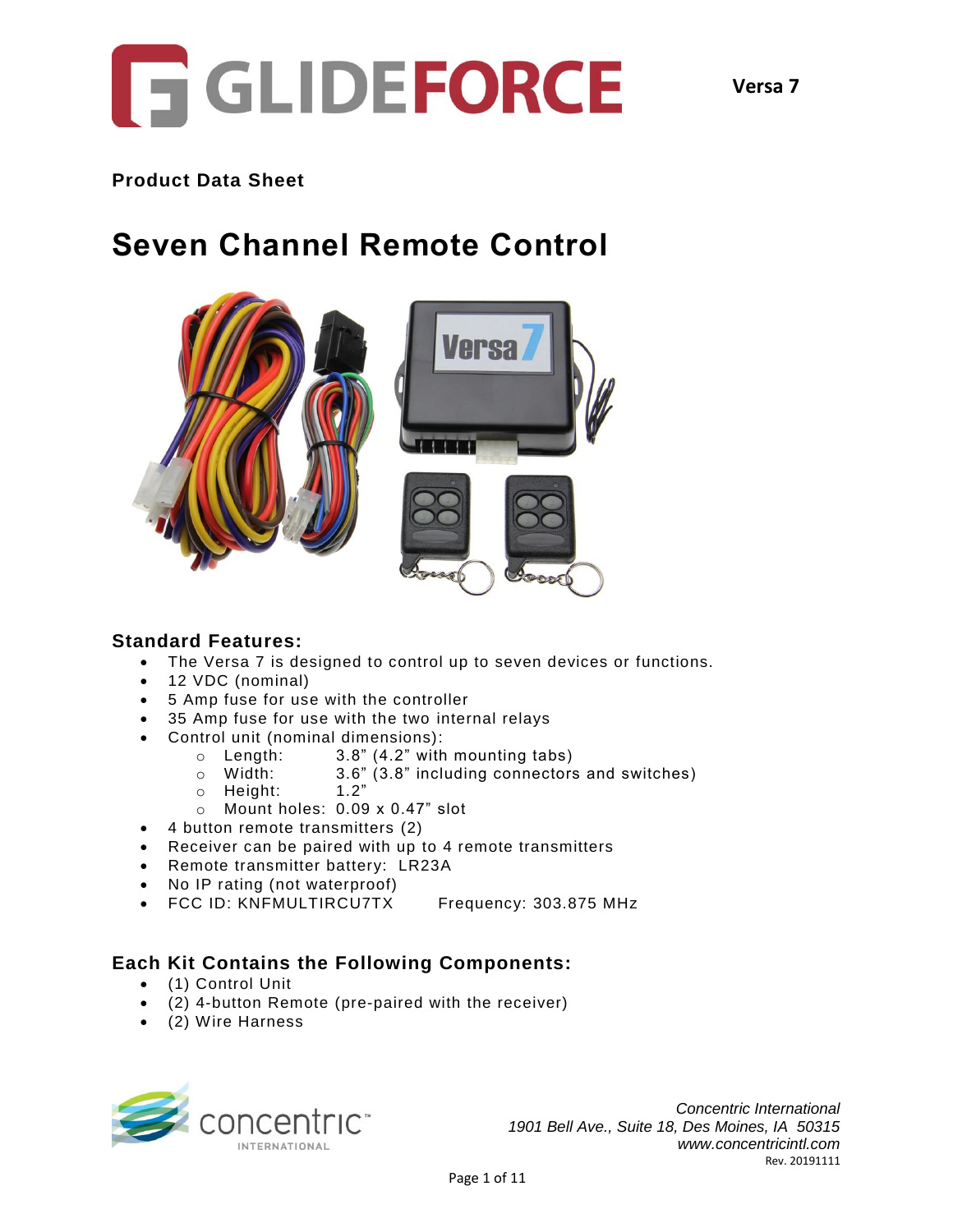

## **Product Data Sheet**

# **Seven Channel Remote Control**



### **Standard Features:**

- The Versa 7 is designed to control up to seven devices or functions.
- 12 VDC (nominal)
- 5 Amp fuse for use with the controller
- 35 Amp fuse for use with the two internal relays
- Control unit (nominal dimensions):
	- o Length: 3.8" (4.2" with mounting tabs)
	- o Width: 3.6" (3.8" including connectors and switches)
	- $\circ$  Height: 1.2"
	- o Mount holes: 0.09 x 0.47" slot
- 4 button remote transmitters (2)
- Receiver can be paired with up to 4 remote transmitters
- Remote transmitter battery: LR23A
- No IP rating (not waterproof)
- FCC ID: KNFMULTIRCU7TX Frequency: 303.875 MHz

### **Each Kit Contains the Following Components:**

- (1) Control Unit
- (2) 4-button Remote (pre-paired with the receiver)
- (2) Wire Harness

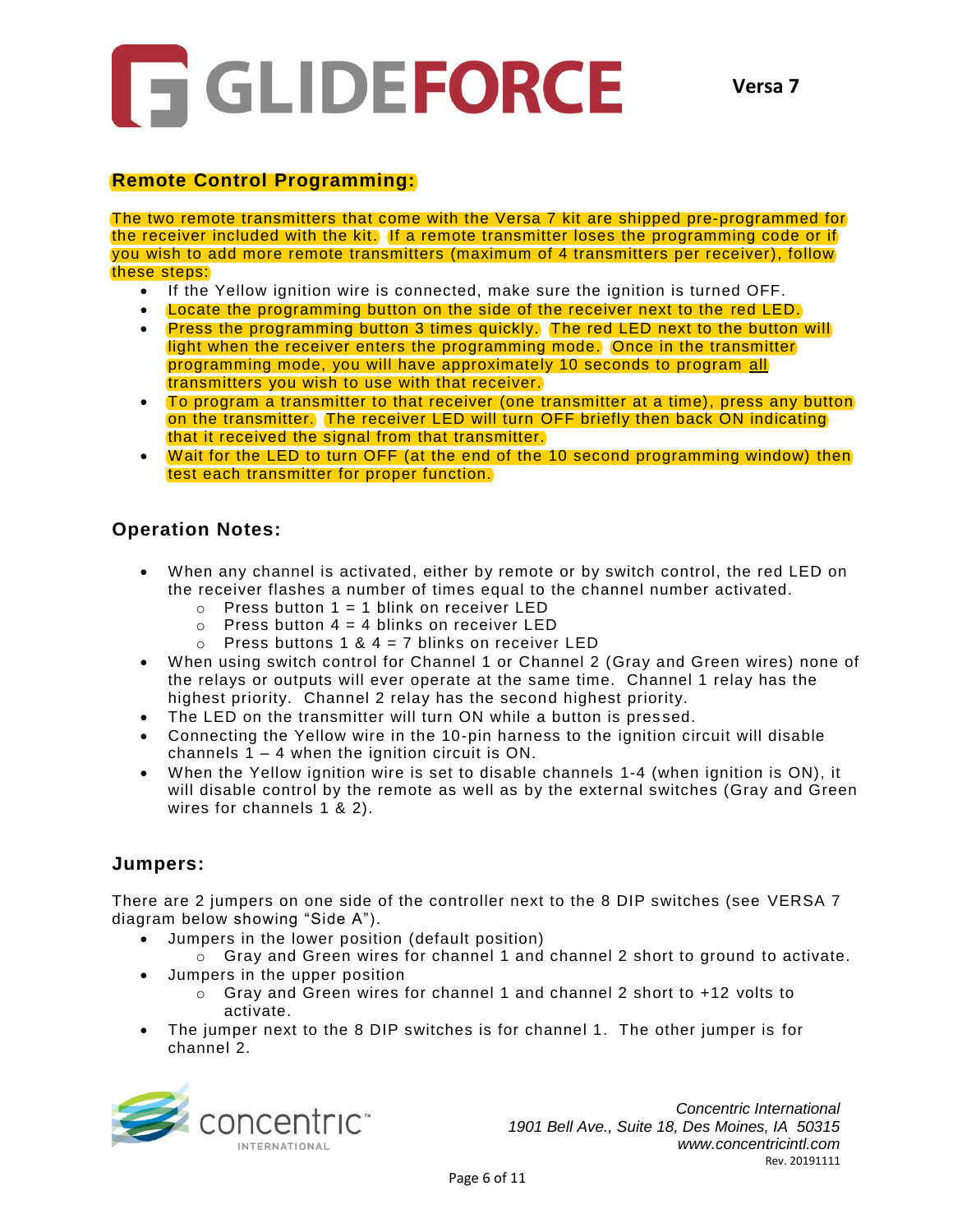

# **Remote Control Programming:**

The two remote transmitters that come with the Versa 7 kit are shipped pre-programmed for the receiver included with the kit. If a remote transmitter loses the programming code or if you wish to add more remote transmitters (maximum of 4 transmitters per receiver), follow these steps:

- If the Yellow ignition wire is connected, make sure the ignition is turned OFF.
- Locate the programming button on the side of the receiver next to the red LED.
- Press the programming button 3 times quickly. The red LED next to the button will light when the receiver enters the programming mode. Once in the transmitter programming mode, you will have approximately 10 seconds to program all transmitters you wish to use with that receiver.
- To program a transmitter to that receiver (one transmitter at a time), press any button on the transmitter. The receiver LED will turn OFF briefly then back ON indicating that it received the signal from that transmitter.
- Wait for the LED to turn OFF (at the end of the 10 second programming window) then test each transmitter for proper function.

# **Operation Notes:**

- When any channel is activated, either by remote or by switch control, the red LED on the receiver flashes a number of times equal to the channel number activated.
	- $\circ$  Press button 1 = 1 blink on receiver LED
	- $\circ$  Press button 4 = 4 blinks on receiver LED
	- $\circ$  Press buttons 1 & 4 = 7 blinks on receiver LED
- When using switch control for Channel 1 or Channel 2 (Gray and Green wires) none of the relays or outputs will ever operate at the same time. Channel 1 relay has the highest priority. Channel 2 relay has the second highest priority.
- The LED on the transmitter will turn ON while a button is pressed.
- Connecting the Yellow wire in the 10-pin harness to the ignition circuit will disable channels 1 – 4 when the ignition circuit is ON.
- When the Yellow ignition wire is set to disable channels 1-4 (when ignition is ON), it will disable control by the remote as well as by the external switches (Gray and Green wires for channels 1 & 2).

### **Jumpers:**

There are 2 jumpers on one side of the controller next to the 8 DIP switches (see VERSA 7 diagram below showing "Side A").

- Jumpers in the lower position (default position)
	- o Gray and Green wires for channel 1 and channel 2 short to ground to activate.
- Jumpers in the upper position
	- $\circ$  Gray and Green wires for channel 1 and channel 2 short to +12 volts to activate.
- The jumper next to the 8 DIP switches is for channel 1. The other jumper is for channel 2.